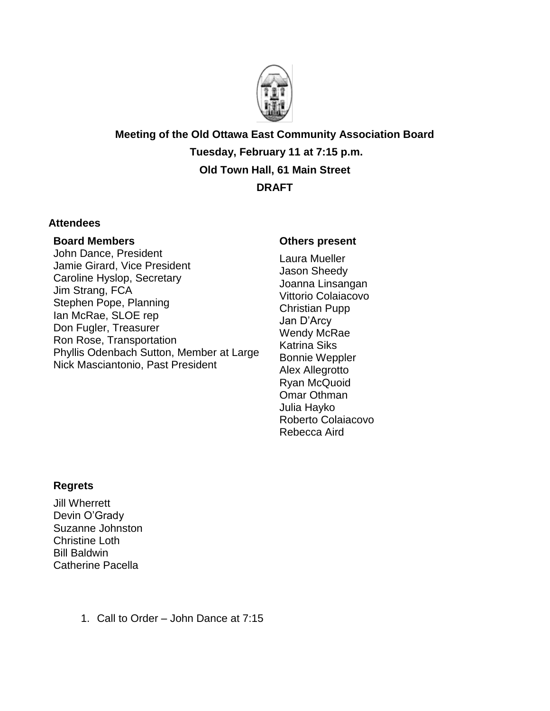

**Meeting of the Old Ottawa East Community Association Board Tuesday, February 11 at 7:15 p.m. Old Town Hall, 61 Main Street DRAFT**

## **Attendees**

#### **Board Members**

John Dance, President Jamie Girard, Vice President Caroline Hyslop, Secretary Jim Strang, FCA Stephen Pope, Planning Ian McRae, SLOE rep Don Fugler, Treasurer Ron Rose, Transportation Phyllis Odenbach Sutton, Member at Large Nick Masciantonio, Past President

#### **Others present**

Laura Mueller Jason Sheedy Joanna Linsangan Vittorio Colaiacovo Christian Pupp Jan D'Arcy Wendy McRae Katrina Siks Bonnie Weppler Alex Allegrotto Ryan McQuoid Omar Othman Julia Hayko Roberto Colaiacovo Rebecca Aird

## **Regrets**

Jill Wherrett Devin O'Grady Suzanne Johnston Christine Loth Bill Baldwin Catherine Pacella

1. Call to Order – John Dance at 7:15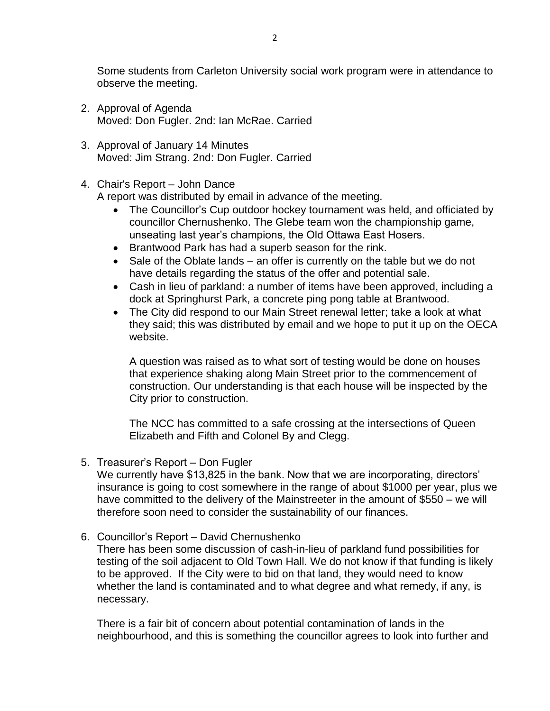Some students from Carleton University social work program were in attendance to observe the meeting.

- 2. Approval of Agenda Moved: Don Fugler. 2nd: Ian McRae. Carried
- 3. Approval of January 14 Minutes Moved: Jim Strang. 2nd: Don Fugler. Carried
- 4. Chair's Report John Dance

A report was distributed by email in advance of the meeting.

- The Councillor's Cup outdoor hockey tournament was held, and officiated by councillor Chernushenko. The Glebe team won the championship game, unseating last year's champions, the Old Ottawa East Hosers.
- Brantwood Park has had a superb season for the rink.
- Sale of the Oblate lands an offer is currently on the table but we do not have details regarding the status of the offer and potential sale.
- Cash in lieu of parkland: a number of items have been approved, including a dock at Springhurst Park, a concrete ping pong table at Brantwood.
- The City did respond to our Main Street renewal letter; take a look at what they said; this was distributed by email and we hope to put it up on the OECA website.

A question was raised as to what sort of testing would be done on houses that experience shaking along Main Street prior to the commencement of construction. Our understanding is that each house will be inspected by the City prior to construction.

The NCC has committed to a safe crossing at the intersections of Queen Elizabeth and Fifth and Colonel By and Clegg.

5. Treasurer's Report – Don Fugler

We currently have \$13,825 in the bank. Now that we are incorporating, directors' insurance is going to cost somewhere in the range of about \$1000 per year, plus we have committed to the delivery of the Mainstreeter in the amount of \$550 – we will therefore soon need to consider the sustainability of our finances.

6. Councillor's Report – David Chernushenko

There has been some discussion of cash-in-lieu of parkland fund possibilities for testing of the soil adjacent to Old Town Hall. We do not know if that funding is likely to be approved. If the City were to bid on that land, they would need to know whether the land is contaminated and to what degree and what remedy, if any, is necessary.

There is a fair bit of concern about potential contamination of lands in the neighbourhood, and this is something the councillor agrees to look into further and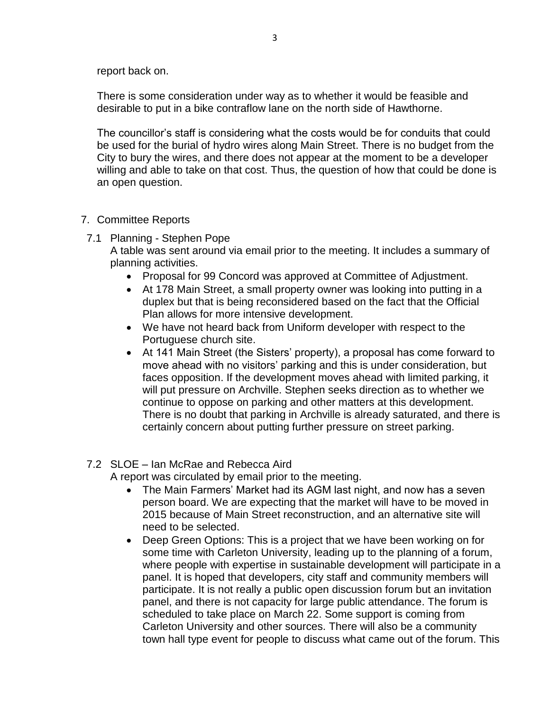report back on.

There is some consideration under way as to whether it would be feasible and desirable to put in a bike contraflow lane on the north side of Hawthorne.

The councillor's staff is considering what the costs would be for conduits that could be used for the burial of hydro wires along Main Street. There is no budget from the City to bury the wires, and there does not appear at the moment to be a developer willing and able to take on that cost. Thus, the question of how that could be done is an open question.

# 7. Committee Reports

7.1 Planning - Stephen Pope

A table was sent around via email prior to the meeting. It includes a summary of planning activities.

- Proposal for 99 Concord was approved at Committee of Adjustment.
- At 178 Main Street, a small property owner was looking into putting in a duplex but that is being reconsidered based on the fact that the Official Plan allows for more intensive development.
- We have not heard back from Uniform developer with respect to the Portuguese church site.
- At 141 Main Street (the Sisters' property), a proposal has come forward to move ahead with no visitors' parking and this is under consideration, but faces opposition. If the development moves ahead with limited parking, it will put pressure on Archville. Stephen seeks direction as to whether we continue to oppose on parking and other matters at this development. There is no doubt that parking in Archville is already saturated, and there is certainly concern about putting further pressure on street parking.

# 7.2 SLOE – Ian McRae and Rebecca Aird

A report was circulated by email prior to the meeting.

- The Main Farmers' Market had its AGM last night, and now has a seven person board. We are expecting that the market will have to be moved in 2015 because of Main Street reconstruction, and an alternative site will need to be selected.
- Deep Green Options: This is a project that we have been working on for some time with Carleton University, leading up to the planning of a forum, where people with expertise in sustainable development will participate in a panel. It is hoped that developers, city staff and community members will participate. It is not really a public open discussion forum but an invitation panel, and there is not capacity for large public attendance. The forum is scheduled to take place on March 22. Some support is coming from Carleton University and other sources. There will also be a community town hall type event for people to discuss what came out of the forum. This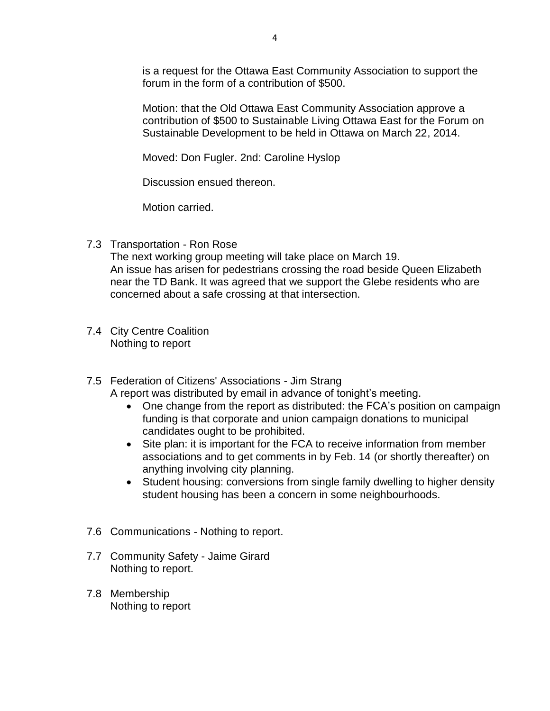is a request for the Ottawa East Community Association to support the forum in the form of a contribution of \$500.

Motion: that the Old Ottawa East Community Association approve a contribution of \$500 to Sustainable Living Ottawa East for the Forum on Sustainable Development to be held in Ottawa on March 22, 2014.

Moved: Don Fugler. 2nd: Caroline Hyslop

Discussion ensued thereon.

Motion carried.

7.3 Transportation - Ron Rose

The next working group meeting will take place on March 19. An issue has arisen for pedestrians crossing the road beside Queen Elizabeth near the TD Bank. It was agreed that we support the Glebe residents who are concerned about a safe crossing at that intersection.

- 7.4 City Centre Coalition Nothing to report
- 7.5 Federation of Citizens' Associations Jim Strang A report was distributed by email in advance of tonight's meeting.
	- One change from the report as distributed: the FCA's position on campaign funding is that corporate and union campaign donations to municipal candidates ought to be prohibited.
	- Site plan: it is important for the FCA to receive information from member associations and to get comments in by Feb. 14 (or shortly thereafter) on anything involving city planning.
	- Student housing: conversions from single family dwelling to higher density student housing has been a concern in some neighbourhoods.
- 7.6 Communications Nothing to report.
- 7.7 Community Safety Jaime Girard Nothing to report.
- 7.8 Membership Nothing to report